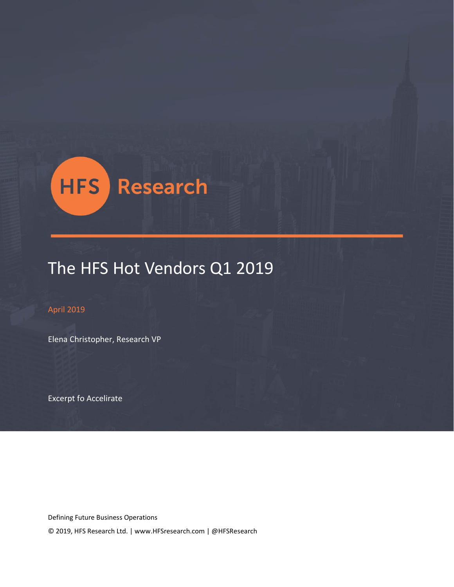

# The HFS Hot Vendors Q1 2019

#### April 2019

Elena Christopher, Research VP

Excerpt fo Accelirate

Defining Future Business Operations

© 2019, HFS Research Ltd. | www.HFSresearch.com | @HFSResearch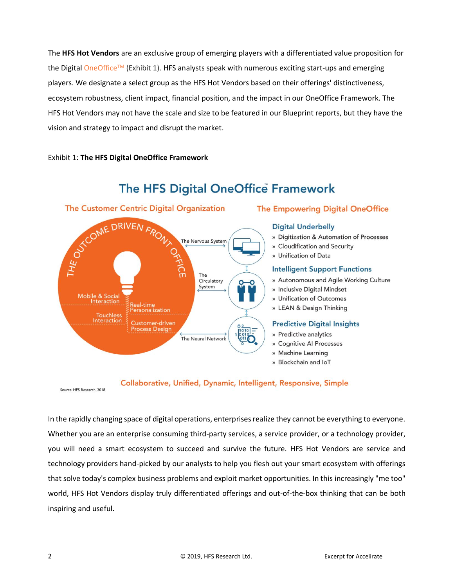The **HFS Hot Vendors** are an exclusive group of emerging players with a differentiated value proposition for the Digital [OneOffice](https://www.hfsresearch.com/pointsofview/Defining-the-Digital-OneOffice-Organization)™ (Exhibit 1). HFS analysts speak with numerous exciting start-ups and emerging players. We designate a select group as the HFS Hot Vendors based on their offerings' distinctiveness, ecosystem robustness, client impact, financial position, and the impact in our OneOffice Framework. The HFS Hot Vendors may not have the scale and size to be featured in our Blueprint reports, but they have the vision and strategy to impact and disrupt the market.

#### Exhibit 1: **The HFS Digital OneOffice Framework**



# The HFS Digital OneOffice Framework

#### **The Empowering Digital OneOffice**

#### **Digital Underbelly**

- » Digitization & Automation of Processes
- » Cloudification and Security
- » Unification of Data

#### **Intelligent Support Functions**

- » Autonomous and Agile Working Culture
- » Inclusive Digital Mindset
- » Unification of Outcomes
- » LEAN & Design Thinking

#### **Predictive Digital Insights**

- » Predictive analytics
- » Cognitive Al Processes
- » Machine Learning
- » Blockchain and IoT

#### Collaborative, Unified, Dynamic, Intelligent, Responsive, Simple

Source: HFS Research, 2018

In the rapidly changing space of digital operations, enterprises realize they cannot be everything to everyone. Whether you are an enterprise consuming third-party services, a service provider, or a technology provider, you will need a smart ecosystem to succeed and survive the future. HFS Hot Vendors are service and technology providers hand-picked by our analysts to help you flesh out your smart ecosystem with offerings that solve today's complex business problems and exploit market opportunities. In this increasingly "me too" world, HFS Hot Vendors display truly differentiated offerings and out-of-the-box thinking that can be both inspiring and useful.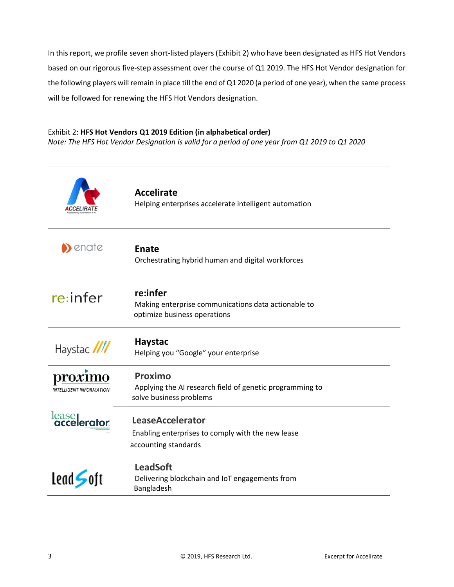In this report, we profile seven short-listed players (Exhibit 2) who have been designated as HFS Hot Vendors based on our rigorous five-step assessment over the course of Q1 2019. The HFS Hot Vendor designation for the following players will remain in place till the end of Q1 2020 (a period of one year), when the same process will be followed for renewing the HFS Hot Vendors designation.

#### Exhibit 2: **HFS Hot Vendors Q1 2019 Edition (in alphabetical order)**

*Note: The HFS Hot Vendor Designation is valid for a period of one year from Q1 2019 to Q1 2020*

|                                   | <b>Accelirate</b><br>Helping enterprises accelerate intelligent automation                           |
|-----------------------------------|------------------------------------------------------------------------------------------------------|
| $\blacktriangleright$ enate       | <b>Enate</b><br>Orchestrating hybrid human and digital workforces                                    |
| re:infer                          | re:infer<br>Making enterprise communications data actionable to<br>optimize business operations      |
| Haystac ////                      | <b>Haystac</b><br>Helping you "Google" your enterprise                                               |
| roxımo<br>INTELLIGENT INFORMATION | Proximo<br>Applying the AI research field of genetic programming to<br>solve business problems       |
| lease<br><b>accelerator</b>       | <b>LeaseAccelerator</b><br>Enabling enterprises to comply with the new lease<br>accounting standards |
| lead S                            | <b>LeadSoft</b><br>Delivering blockchain and IoT engagements from<br>Bangladesh                      |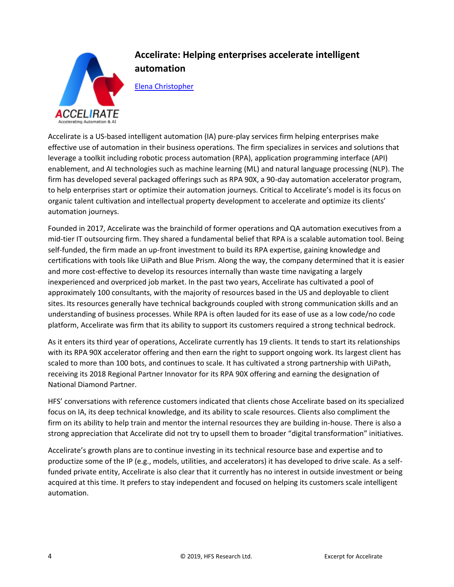

# **Accelirate: Helping enterprises accelerate intelligent automation**

[Elena Christopher](https://www.hfsresearch.com/team/elena-christopher)

Accelirate is a US-based intelligent automation (IA) pure-play services firm helping enterprises make effective use of automation in their business operations. The firm specializes in services and solutions that leverage a toolkit including robotic process automation (RPA), application programming interface (API) enablement, and AI technologies such as machine learning (ML) and natural language processing (NLP). The firm has developed several packaged offerings such as RPA 90X, a 90-day automation accelerator program, to help enterprises start or optimize their automation journeys. Critical to Accelirate's model is its focus on organic talent cultivation and intellectual property development to accelerate and optimize its clients' automation journeys.

Founded in 2017, Accelirate was the brainchild of former operations and QA automation executives from a mid-tier IT outsourcing firm. They shared a fundamental belief that RPA is a scalable automation tool. Being self-funded, the firm made an up-front investment to build its RPA expertise, gaining knowledge and certifications with tools like UiPath and Blue Prism. Along the way, the company determined that it is easier and more cost-effective to develop its resources internally than waste time navigating a largely inexperienced and overpriced job market. In the past two years, Accelirate has cultivated a pool of approximately 100 consultants, with the majority of resources based in the US and deployable to client sites. Its resources generally have technical backgrounds coupled with strong communication skills and an understanding of business processes. While RPA is often lauded for its ease of use as a low code/no code platform, Accelirate was firm that its ability to support its customers required a strong technical bedrock.

As it enters its third year of operations, Accelirate currently has 19 clients. It tends to start its relationships with its RPA 90X accelerator offering and then earn the right to support ongoing work. Its largest client has scaled to more than 100 bots, and continues to scale. It has cultivated a strong partnership with UiPath, receiving its 2018 Regional Partner Innovator for its RPA 90X offering and earning the designation of National Diamond Partner.

HFS' conversations with reference customers indicated that clients chose Accelirate based on its specialized focus on IA, its deep technical knowledge, and its ability to scale resources. Clients also compliment the firm on its ability to help train and mentor the internal resources they are building in-house. There is also a strong appreciation that Accelirate did not try to upsell them to broader "digital transformation" initiatives.

Accelirate's growth plans are to continue investing in its technical resource base and expertise and to productize some of the IP (e.g., models, utilities, and accelerators) it has developed to drive scale. As a selffunded private entity, Accelirate is also clear that it currently has no interest in outside investment or being acquired at this time. It prefers to stay independent and focused on helping its customers scale intelligent automation.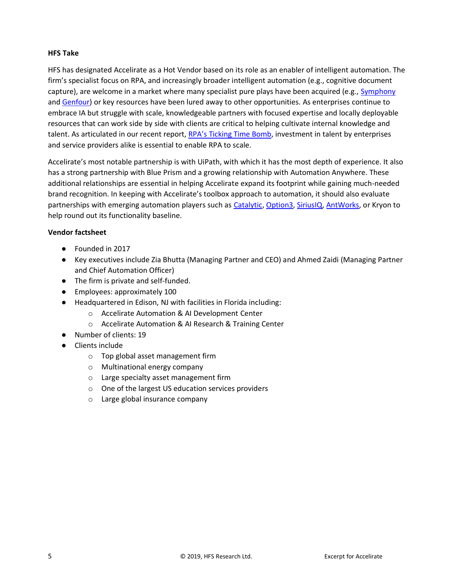#### **HFS Take**

HFS has designated Accelirate as a Hot Vendor based on its role as an enabler of intelligent automation. The firm's specialist focus on RPA, and increasingly broader intelligent automation (e.g., cognitive document capture), are welcome in a market where many specialist pure plays have been acquired (e.g., [Symphony](https://www.horsesforsources.com/sykes-acquires-symphony_102218) and [Genfour\)](https://www.horsesforsources.com/Accenture-GenFour-Acquisition_040317) or key resources have been lured away to other opportunities. As enterprises continue to embrace IA but struggle with scale, knowledgeable partners with focused expertise and locally deployable resources that can work side by side with clients are critical to helping cultivate internal knowledge and talent. As articulated in our recent report, [RPA's Ticking Time Bomb](https://www.hfsresearch.com/pointsofview/rpas-ticking-time-bomb-enterprises-and-service-providers-must-make-rpa-talent-their-top-priority-to-avoid-disaster), investment in talent by enterprises and service providers alike is essential to enable RPA to scale.

Accelirate's most notable partnership is with UiPath, with which it has the most depth of experience. It also has a strong partnership with Blue Prism and a growing relationship with Automation Anywhere. These additional relationships are essential in helping Accelirate expand its footprint while gaining much-needed brand recognition. In keeping with Accelirate's toolbox approach to automation, it should also evaluate partnerships with emerging automation players such as [Catalytic, Option3,](https://www.hfsresearch.com/pointsofview/hfs-hot-vendors-q1-2018) [SiriusIQ,](https://www.hfsresearch.com/pointsofview/hfs-hot-vendors-q4-2018) [AntWorks,](https://www.horsesforsources.com/antworks_030619) or Kryon to help round out its functionality baseline.

#### **Vendor factsheet**

- Founded in 2017
- Key executives include Zia Bhutta (Managing Partner and CEO) and Ahmed Zaidi (Managing Partner and Chief Automation Officer)
- The firm is private and self-funded.
- Employees: approximately 100
- Headquartered in Edison, NJ with facilities in Florida including:
	- o Accelirate Automation & AI Development Center
	- o Accelirate Automation & AI Research & Training Center
- Number of clients: 19
- Clients include
	- o Top global asset management firm
	- o Multinational energy company
	- o Large specialty asset management firm
	- o One of the largest US education services providers
	- o Large global insurance company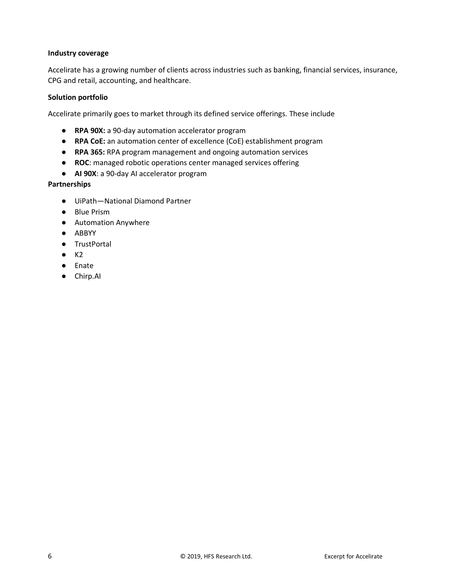#### **Industry coverage**

Accelirate has a growing number of clients across industries such as banking, financial services, insurance, CPG and retail, accounting, and healthcare.

#### **Solution portfolio**

Accelirate primarily goes to market through its defined service offerings. These include

- **RPA 90X:** a 90-day automation accelerator program
- **RPA CoE:** an automation center of excellence (CoE) establishment program
- **RPA 365:** RPA program management and ongoing automation services
- **ROC**: managed robotic operations center managed services offering
- **AI 90X**: a 90-day AI accelerator program

#### **Partnerships**

- UiPath—National Diamond Partner
- Blue Prism
- Automation Anywhere
- ABBYY
- TrustPortal
- $\bullet$  K2
- Enate
- Chirp.AI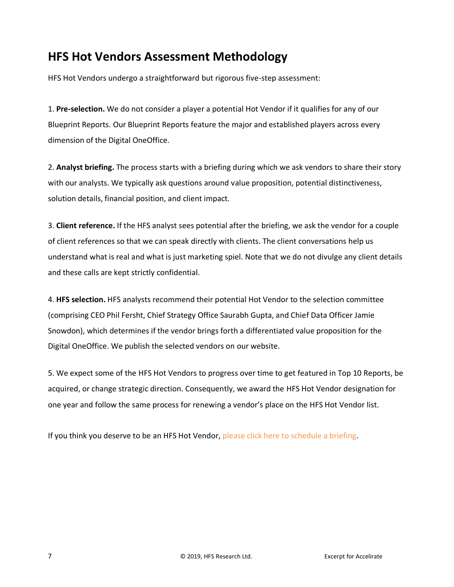# **HFS Hot Vendors Assessment Methodology**

HFS Hot Vendors undergo a straightforward but rigorous five-step assessment:

1. **Pre-selection.** We do not consider a player a potential Hot Vendor if it qualifies for any of our Blueprint Reports. Our Blueprint Reports feature the major and established players across every dimension of the Digital OneOffice.

2. **Analyst briefing.** The process starts with a briefing during which we ask vendors to share their story with our analysts. We typically ask questions around value proposition, potential distinctiveness, solution details, financial position, and client impact.

3. **Client reference.** If the HFS analyst sees potential after the briefing, we ask the vendor for a couple of client references so that we can speak directly with clients. The client conversations help us understand what is real and what is just marketing spiel. Note that we do not divulge any client details and these calls are kept strictly confidential.

4. **HFS selection.** HFS analysts recommend their potential Hot Vendor to the selection committee (comprising CEO Phil Fersht, Chief Strategy Office Saurabh Gupta, and Chief Data Officer Jamie Snowdon), which determines if the vendor brings forth a differentiated value proposition for the Digital OneOffice. We publish the selected vendors on our website.

5. We expect some of the HFS Hot Vendors to progress over time to get featured in Top 10 Reports, be acquired, or change strategic direction. Consequently, we award the HFS Hot Vendor designation for one year and follow the same process for renewing a vendor's place on the HFS Hot Vendor list.

If you think you deserve to be an HFS Hot Vendor, please click here to schedule a briefing.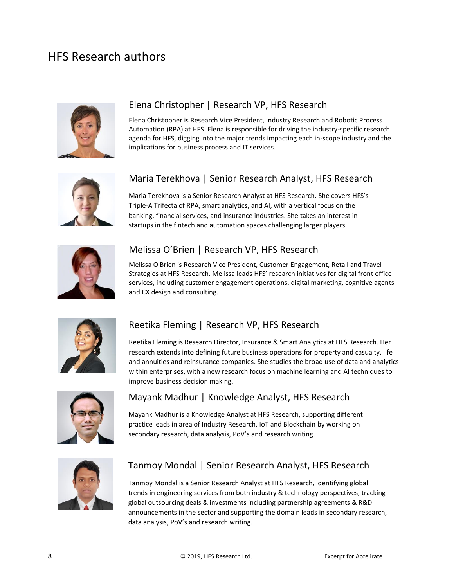

### Elena Christopher | Research VP, HFS Research

Elena Christopher is Research Vice President, Industry Research and Robotic Process Automation (RPA) at HFS. Elena is responsible for driving the industry-specific research agenda for HFS, digging into the major trends impacting each in-scope industry and the implications for business process and IT services.



### Maria Terekhova | Senior Research Analyst, HFS Research

Maria Terekhova is a Senior Research Analyst at HFS Research. She covers HFS's Triple-A Trifecta of RPA, smart analytics, and AI, with a vertical focus on the banking, financial services, and insurance industries. She takes an interest in startups in the fintech and automation spaces challenging larger players.



### Melissa O'Brien | Research VP, HFS Research

Melissa O'Brien is Research Vice President, Customer Engagement, Retail and Travel Strategies at HFS Research. Melissa leads HFS' research initiatives for digital front office services, including customer engagement operations, digital marketing, cognitive agents and CX design and consulting.



## Reetika Fleming | Research VP, HFS Research

Reetika Fleming is Research Director, Insurance & Smart Analytics at HFS Research. Her research extends into defining future business operations for property and casualty, life and annuities and reinsurance companies. She studies the broad use of data and analytics within enterprises, with a new research focus on machine learning and AI techniques to improve business decision making.



## Mayank Madhur | Knowledge Analyst, HFS Research

Mayank Madhur is a Knowledge Analyst at HFS Research, supporting different practice leads in area of Industry Research, IoT and Blockchain by working on secondary research, data analysis, PoV's and research writing.



### Tanmoy Mondal | Senior Research Analyst, HFS Research

Tanmoy Mondal is a Senior Research Analyst at HFS Research, identifying global trends in engineering services from both industry & technology perspectives, tracking global outsourcing deals & investments including partnership agreements & R&D announcements in the sector and supporting the domain leads in secondary research, data analysis, PoV's and research writing.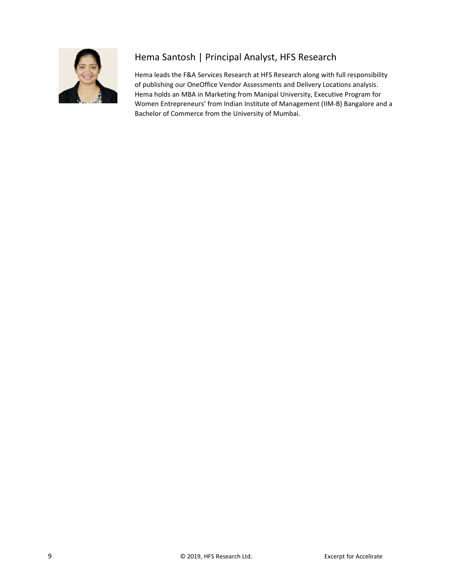

# Hema Santosh | Principal Analyst, HFS Research

Hema leads the F&A Services Research at HFS Research along with full responsibility of publishing our OneOffice Vendor Assessments and Delivery Locations analysis. Hema holds an MBA in Marketing from Manipal University, Executive Program for Women Entrepreneurs' from Indian Institute of Management (IIM-B) Bangalore and a Bachelor of Commerce from the University of Mumbai.